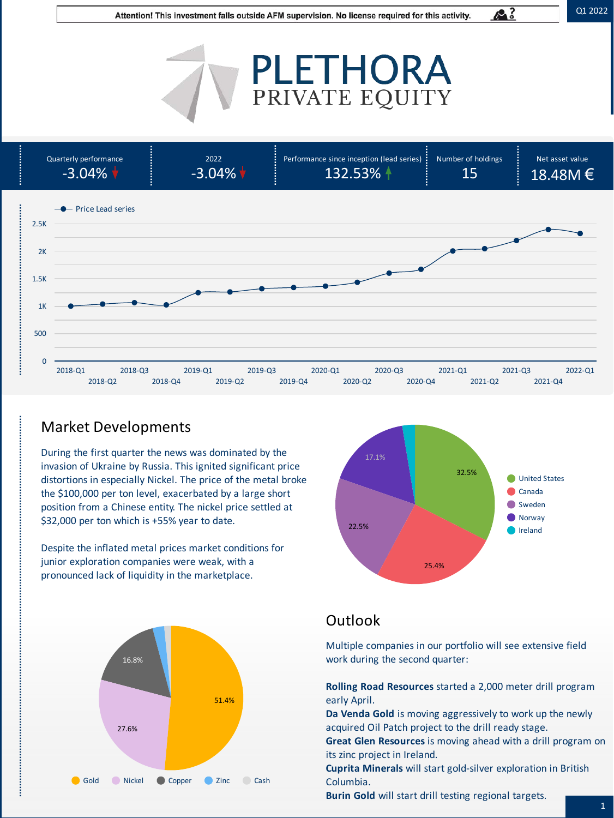A.

# PLETHORA



## Market Developments

During the first quarter the news was dominated by the invasion of Ukraine by Russia. This ignited significant price distortions in especially Nickel. The price of the metal broke the \$100,000 per ton level, exacerbated by a large short position from a Chinese entity. The nickel price settled at \$32,000 per ton which is +55% year to date.

Despite the inflated metal prices market conditions for junior exploration companies were weak, with a pronounced lack of liquidity in the marketplace.





## **Outlook**

Multiple companies in our portfolio will see extensive field work during the second quarter:

**Rolling Road Resources** started a 2,000 meter drill program early April.

**Da Venda Gold** is moving aggressively to work up the newly acquired Oil Patch project to the drill ready stage.

**Great Glen Resources** is moving ahead with a drill program on its zinc project in Ireland.

**Cuprita Minerals** will start gold-silver exploration in British Columbia.

**Burin Gold** will start drill testing regional targets.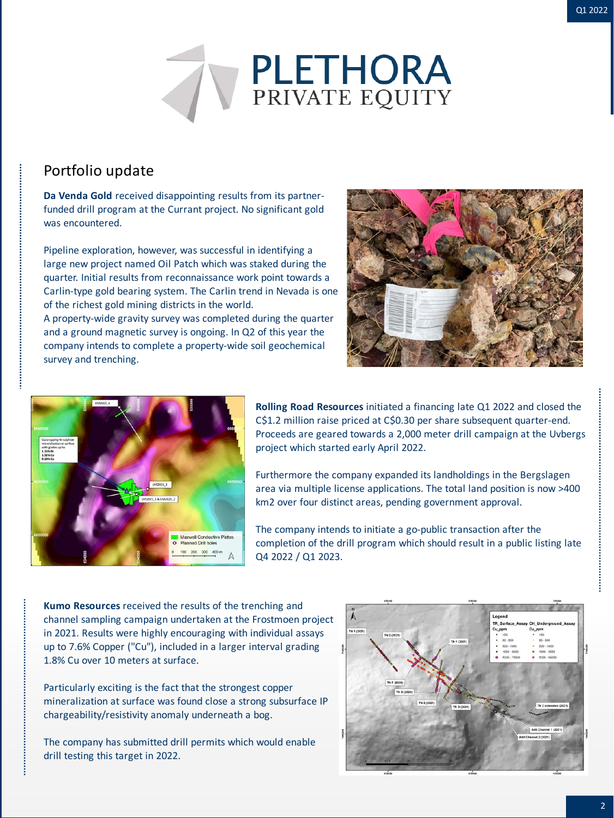

#### Portfolio update

**Da Venda Gold** received disappointing results from its partnerfunded drill program at the Currant project. No significant gold was encountered.

Pipeline exploration, however, was successful in identifying a large new project named Oil Patch which was staked during the quarter. Initial results from reconnaissance work point towards a Carlin-type gold bearing system. The Carlin trend in Nevada is one of the richest gold mining districts in the world.

A property-wide gravity survey was completed during the quarter and a ground magnetic survey is ongoing. In Q2 of this year the company intends to complete a property-wide soil geochemical survey and trenching.



![](_page_1_Picture_7.jpeg)

**Rolling Road Resources** initiated a financing late Q1 2022 and closed the C\$1.2 million raise priced at C\$0.30 per share subsequent quarter-end. Proceeds are geared towards a 2,000 meter drill campaign at the Uvbergs project which started early April 2022.

Furthermore the company expanded its landholdings in the Bergslagen area via multiple license applications. The total land position is now >400 km2 over four distinct areas, pending government approval.

The company intends to initiate a go-public transaction after the completion of the drill program which should result in a public listing late Q4 2022 / Q1 2023.

**Kumo Resources** received the results of the trenching and channel sampling campaign undertaken at the Frostmoen project in 2021. Results were highly encouraging with individual assays up to 7.6% Copper ("Cu"), included in a larger interval grading 1.8% Cu over 10 meters at surface.

Particularly exciting is the fact that the strongest copper mineralization at surface was found close a strong subsurface IP chargeability/resistivity anomaly underneath a bog.

The company has submitted drill permits which would enable drill testing this target in 2022.

![](_page_1_Figure_14.jpeg)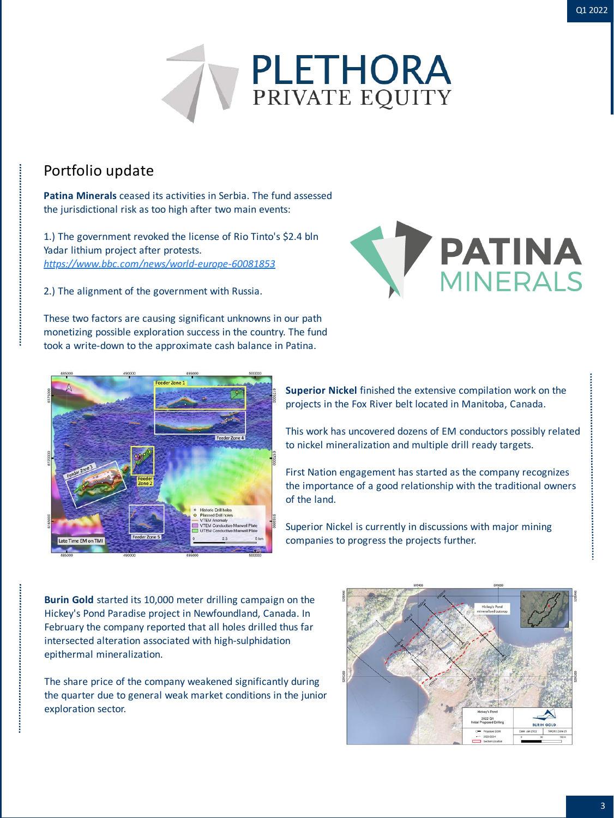![](_page_2_Picture_1.jpeg)

#### Portfolio update

**Patina Minerals** ceased its activities in Serbia. The fund assessed the jurisdictional risk as too high after two main events:

1.) The government revoked the license of Rio Tinto's \$2.4 bln Yadar lithium project after protests. *<https://www.bbc.com/news/world-europe-60081853>*

2.) The alignment of the government with Russia.

![](_page_2_Picture_6.jpeg)

These two factors are causing significant unknowns in our path monetizing possible exploration success in the country. The fund took a write-down to the approximate cash balance in Patina.

![](_page_2_Picture_8.jpeg)

**Superior Nickel** finished the extensive compilation work on the projects in the Fox River belt located in Manitoba, Canada.

This work has uncovered dozens of EM conductors possibly related to nickel mineralization and multiple drill ready targets.

First Nation engagement has started as the company recognizes the importance of a good relationship with the traditional owners of the land.

Superior Nickel is currently in discussions with major mining companies to progress the projects further.

**Burin Gold** started its 10,000 meter drilling campaign on the Hickey's Pond Paradise project in Newfoundland, Canada. In February the company reported that all holes drilled thus far intersected alteration associated with high-sulphidation epithermal mineralization.

The share price of the company weakened significantly during the quarter due to general weak market conditions in the junior exploration sector.

![](_page_2_Figure_15.jpeg)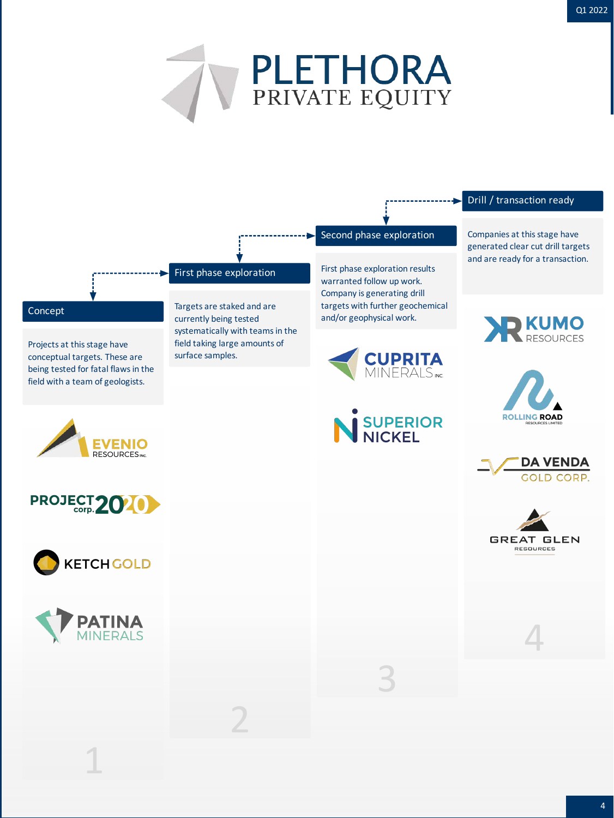![](_page_3_Picture_1.jpeg)

#### Drill / transaction ready

Second phase exploration Companies at this stage have generated clear cut drill targets and are ready for a transaction.

![](_page_3_Picture_4.jpeg)

![](_page_3_Picture_5.jpeg)

![](_page_3_Picture_6.jpeg)

![](_page_3_Picture_7.jpeg)

4

## First phase exploration First phase exploration results

**Concept** Concept Targets are staked and are currently being tested systematically with teams in the field taking large amounts of surface samples.

2

## **CUPRITA**<br>MINERALS<sub>INC</sub>

warranted follow up work. Company is generating drill targets with further geochemical

and/or geophysical work.

![](_page_3_Picture_12.jpeg)

![](_page_3_Picture_13.jpeg)

Projects at this stage have conceptual targets. These are being tested for fatal flaws in the field with a team of geologists.

![](_page_3_Picture_14.jpeg)

![](_page_3_Picture_15.jpeg)

![](_page_3_Picture_16.jpeg)

1

3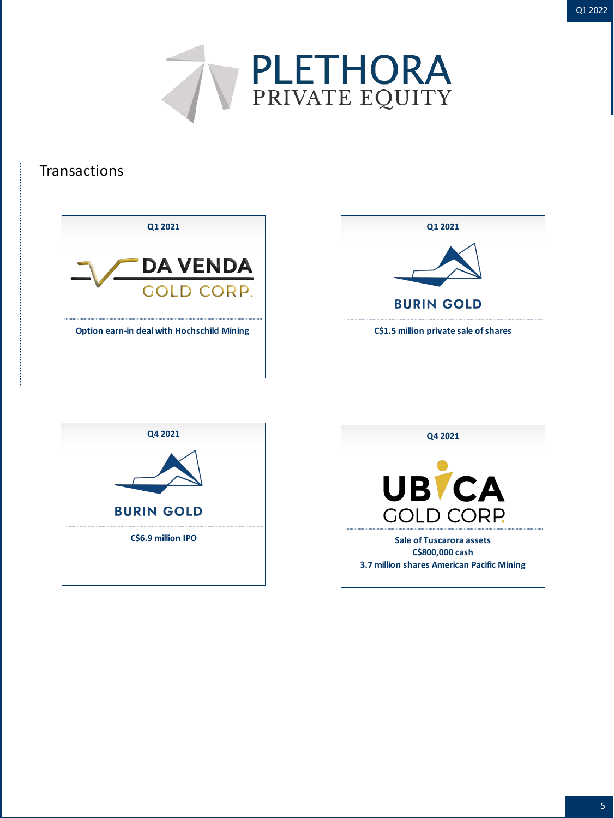![](_page_4_Picture_0.jpeg)

![](_page_4_Picture_1.jpeg)

#### **Transactions**

![](_page_4_Picture_3.jpeg)

![](_page_4_Picture_4.jpeg)

![](_page_4_Picture_5.jpeg)

![](_page_4_Picture_6.jpeg)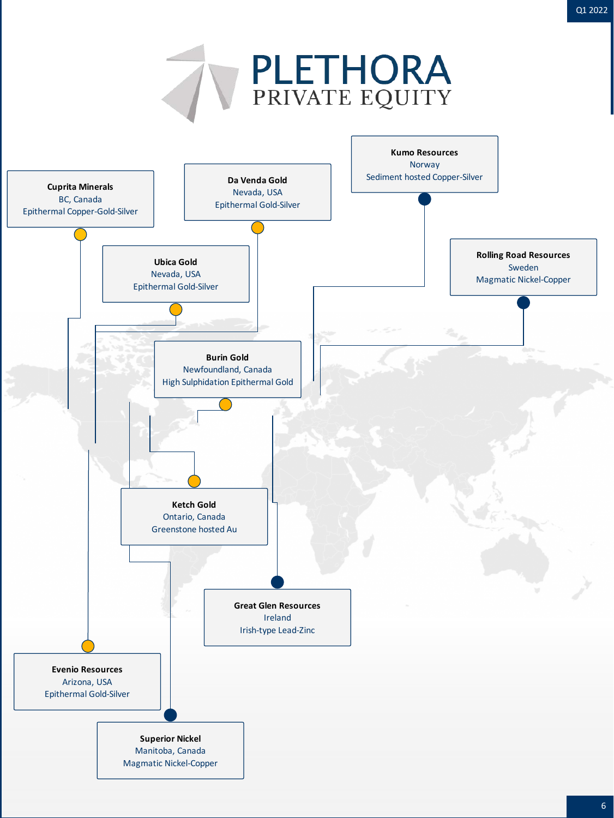![](_page_5_Figure_0.jpeg)

**Great Glen Resources** Ireland Irish-type Lead-Zinc

![](_page_5_Figure_1.jpeg)

**Superior Nickel** Manitoba, Canada Magmatic Nickel-Copper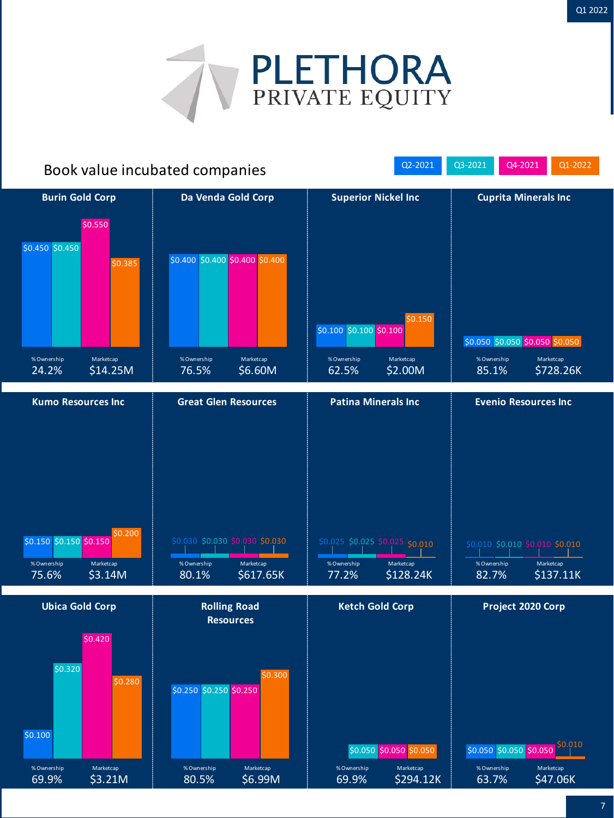![](_page_6_Picture_1.jpeg)

## Book value incubated companies and all the C2-2021 Q3-2021 Q4-2021 Q4-2021 Q1-2022

\$0.450 \$0.450 \$0.385 \$0.400 \$0.400 \$0.400 \$0.400 \$0.100 \$0.100 \$0.100 \$0.050 \$0.050 \$0.050 \$0.050 \$0.550 \$0.150 **Burin Gold Corp Da Venda Gold Corp Superior Nickel Inc Cuprita Minerals Inc** % Ownership 24.2% Marketcap \$14.25M % Ownership 76.5% Marketcap \$6.60M % Ownership 62.5% Marketcap \$2.00M % Ownership 85.1% Marketcap \$728.26K **Kumo Resources Inc Great Glen Resources Patina Minerals Inc Evenio Resources Inc**

![](_page_6_Figure_4.jpeg)

![](_page_6_Figure_5.jpeg)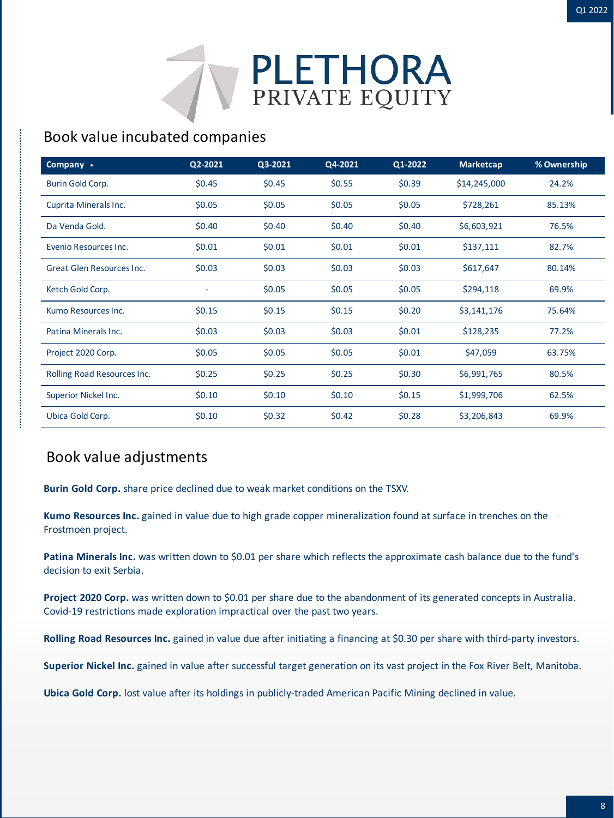![](_page_7_Picture_1.jpeg)

## Book value incubated companies

| Company $\overline{\phantom{a}}$ | Q2-2021  | Q3-2021  | Q4-2021  | Q1-2022  | <b>Marketcap</b> | % Ownership |
|----------------------------------|----------|----------|----------|----------|------------------|-------------|
| Burin Gold Corp.                 | \$0.45   | \$0.45   | \$0.55   | \$0.39   | \$14,245,000     | 24.2%       |
| Cuprita Minerals Inc.            | \$0.05   | \$0.05   | \$0.05   | \$0.05   | \$728,261        | 85.13%      |
| Da Venda Gold.                   | \$0.40   | \$0.40   | \$0.40   | \$0.40   | \$6,603,921      | 76.5%       |
| Evenio Resources Inc.            | \$0.01   | \$0.01   | \$0.01   | \$0.01   | \$137,111        | 82.7%       |
| Great Glen Resources Inc.        | \$0.03\$ | \$0.03\$ | \$0.03\$ | \$0.03   | \$617,647        | 80.14%      |
| Ketch Gold Corp.                 |          | \$0.05   | \$0.05   | \$0.05   | \$294,118        | 69.9%       |
| Kumo Resources Inc.              | \$0.15   | \$0.15   | \$0.15   | \$0.20   | \$3,141,176      | 75.64%      |
| Patina Minerals Inc.             | \$0.03\$ | \$0.03   | \$0.03\$ | \$0.01   | \$128,235        | 77.2%       |
| Project 2020 Corp.               | \$0.05   | \$0.05   | \$0.05   | \$0.01   | \$47,059         | 63.75%      |
| Rolling Road Resources Inc.      | \$0.25   | \$0.25   | \$0.25   | \$0.30   | \$6,991,765      | 80.5%       |
| Superior Nickel Inc.             | \$0.10   | \$0.10   | \$0.10   | \$0.15   | \$1,999,706      | 62.5%       |
| Ubica Gold Corp.                 | \$0.10   | \$0.32   | \$0.42   | \$0.28\$ | \$3,206,843      | 69.9%       |

### Book value adjustments

,我们的一个人,我们的一个人,我们的一个人,我们的一个人,我们的一个人,我们的一个人,我们的一个人,我们的一个人,我们的一个人,我们的一个人,我们的一个人,我们的一个人,我们的一个人,我们的一个人

**Burin Gold Corp.** share price declined due to weak market conditions on the TSXV.

**Kumo Resources Inc.** gained in value due to high grade copper mineralization found at surface in trenches on the Frostmoen project.

Patina Minerals Inc. was written down to \$0.01 per share which reflects the approximate cash balance due to the fund's decision to exit Serbia.

**Project 2020 Corp.** was written down to \$0.01 per share due to the abandonment of its generated concepts in Australia. Covid-19 restrictions made exploration impractical over the past two years.

**Rolling Road Resources Inc.** gained in value due after initiating a financing at \$0.30 per share with third-party investors.

**Superior Nickel Inc.** gained in value after successful target generation on its vast project in the Fox River Belt, Manitoba.

**Ubica Gold Corp.** lost value after its holdings in publicly-traded American Pacific Mining declined in value.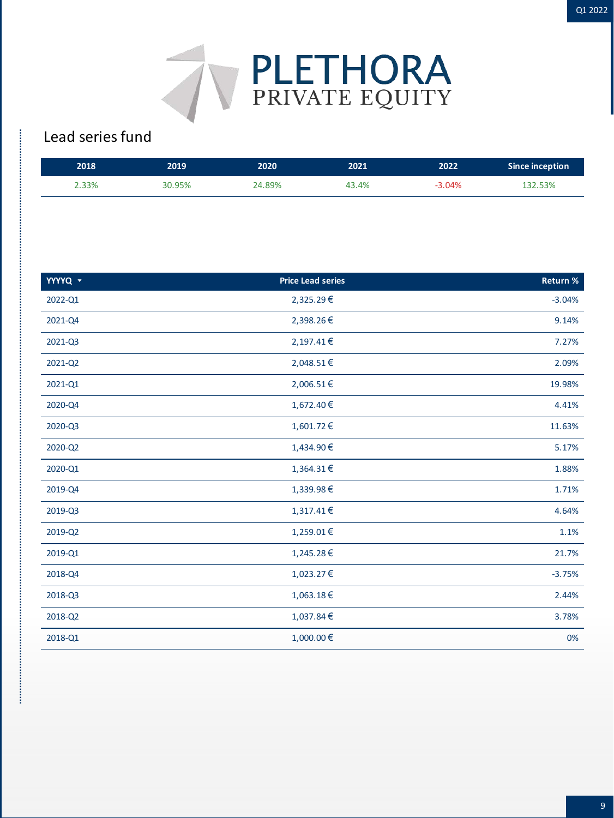![](_page_8_Picture_1.jpeg)

## Lead series fund

| 2018  | 2019   | 2020   | 2021  | 2022     | Since inception |
|-------|--------|--------|-------|----------|-----------------|
| 2.33% | 30.95% | 24.89% | 43.4% | $-3.04%$ | 132.53%         |

| YYYYQ v | <b>Price Lead series</b> | <b>Return %</b> |
|---------|--------------------------|-----------------|
| 2022-Q1 | 2,325.29€                | $-3.04%$        |
| 2021-Q4 | 2,398.26€                | 9.14%           |
| 2021-Q3 | 2,197.41€                | 7.27%           |
| 2021-Q2 | 2,048.51€                | 2.09%           |
| 2021-Q1 | 2,006.51€                | 19.98%          |
| 2020-Q4 | 1,672.40€                | 4.41%           |
| 2020-Q3 | 1,601.72 €               | 11.63%          |
| 2020-Q2 | 1,434.90€                | 5.17%           |
| 2020-Q1 | 1,364.31€                | 1.88%           |
| 2019-Q4 | 1,339.98€                | 1.71%           |
| 2019-Q3 | 1,317.41€                | 4.64%           |
| 2019-Q2 | 1,259.01€                | 1.1%            |
| 2019-Q1 | 1,245.28€                | 21.7%           |
| 2018-Q4 | 1,023.27€                | $-3.75%$        |
| 2018-Q3 | 1,063.18€                | 2.44%           |
| 2018-Q2 | 1,037.84 €               | 3.78%           |
| 2018-Q1 | 1,000.00€                | 0%              |